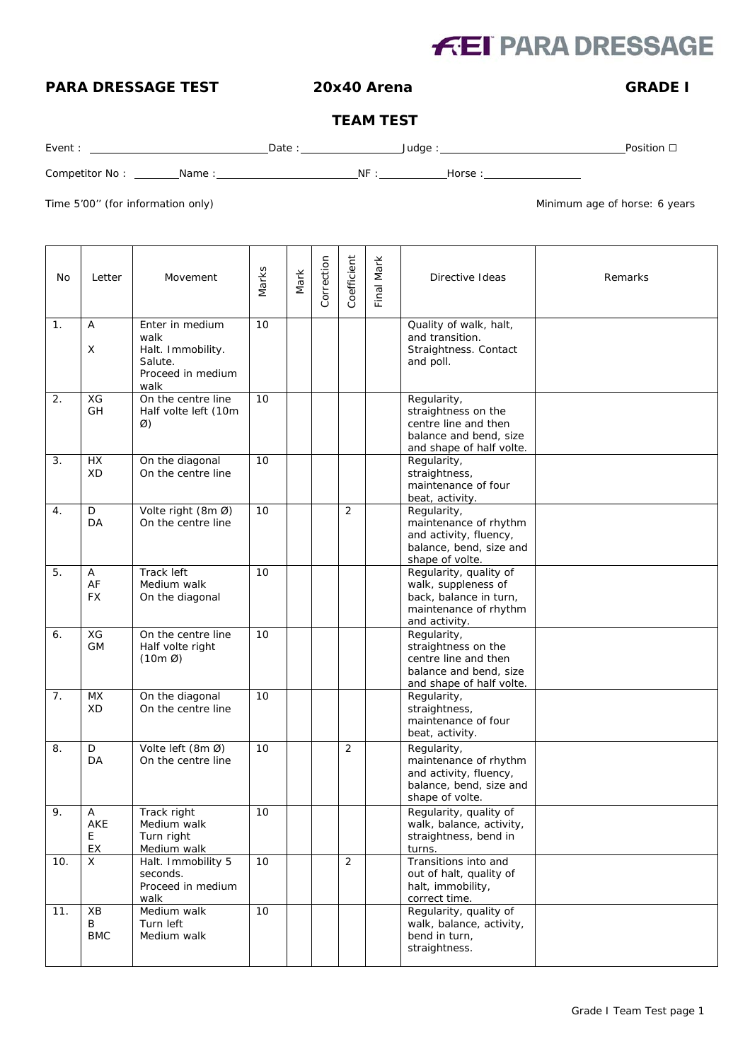# **FEI PARA DRESSAGE**

### **PARA DRESSAGE TEST 20x40 Arena GRADE I**

### **TEAM TEST**

| Event | Date | Judae | Position |
|-------|------|-------|----------|
|       |      |       |          |

Competitor No : Name : NF : Horse :

Time 5'00" (for information only) and the state of the state of the Minimum age of horse: 6 years

| No             | Letter                | Movement                                                                             | Marks | Mark | Correction | Coefficient    | Final Mark | Directive Ideas                                                                                                   | Remarks |
|----------------|-----------------------|--------------------------------------------------------------------------------------|-------|------|------------|----------------|------------|-------------------------------------------------------------------------------------------------------------------|---------|
| $\mathbf{1}$ . | Α<br>X                | Enter in medium<br>walk<br>Halt. Immobility.<br>Salute.<br>Proceed in medium<br>walk | 10    |      |            |                |            | Quality of walk, halt,<br>and transition.<br>Straightness. Contact<br>and poll.                                   |         |
| 2.             | XG<br>GH              | On the centre line<br>Half volte left (10m<br>Ø)                                     | 10    |      |            |                |            | Regularity,<br>straightness on the<br>centre line and then<br>balance and bend, size<br>and shape of half volte.  |         |
| 3.             | <b>HX</b><br>XD       | On the diagonal<br>On the centre line                                                | 10    |      |            |                |            | Regularity,<br>straightness,<br>maintenance of four<br>beat, activity.                                            |         |
| 4.             | D<br>DA               | Volte right (8m Ø)<br>On the centre line                                             | 10    |      |            | 2              |            | Regularity,<br>maintenance of rhythm<br>and activity, fluency,<br>balance, bend, size and<br>shape of volte.      |         |
| 5.             | Α<br>AF<br><b>FX</b>  | Track left<br>Medium walk<br>On the diagonal                                         | 10    |      |            |                |            | Regularity, quality of<br>walk, suppleness of<br>back, balance in turn,<br>maintenance of rhythm<br>and activity. |         |
| 6.             | XG<br><b>GM</b>       | On the centre line<br>Half volte right<br>$(10m \varnothing)$                        | 10    |      |            |                |            | Regularity,<br>straightness on the<br>centre line and then<br>balance and bend, size<br>and shape of half volte.  |         |
| 7.             | <b>MX</b><br>XD       | On the diagonal<br>On the centre line                                                | 10    |      |            |                |            | Regularity,<br>straightness,<br>maintenance of four<br>beat, activity.                                            |         |
| 8.             | D<br>DA               | Volte left (8m Ø)<br>On the centre line                                              | 10    |      |            | 2              |            | Regularity,<br>maintenance of rhythm<br>and activity, fluency,<br>balance, bend, size and<br>shape of volte.      |         |
| $\mathsf Q$    | Α<br>AKE<br>E<br>EX   | Track right<br>Medium walk<br>Turn right<br>Medium walk                              | 10    |      |            |                |            | Regularity, quality of<br>walk, balance, activity,<br>straightness, bend in<br>turns.                             |         |
| 10.            | X.                    | Halt. Immobility 5<br>seconds.<br>Proceed in medium<br>walk                          | 10    |      |            | $\overline{2}$ |            | Transitions into and<br>out of halt, quality of<br>halt, immobility,<br>correct time.                             |         |
| 11.            | XB<br>В<br><b>BMC</b> | Medium walk<br>Turn left<br>Medium walk                                              | 10    |      |            |                |            | Regularity, quality of<br>walk, balance, activity,<br>bend in turn,<br>straightness.                              |         |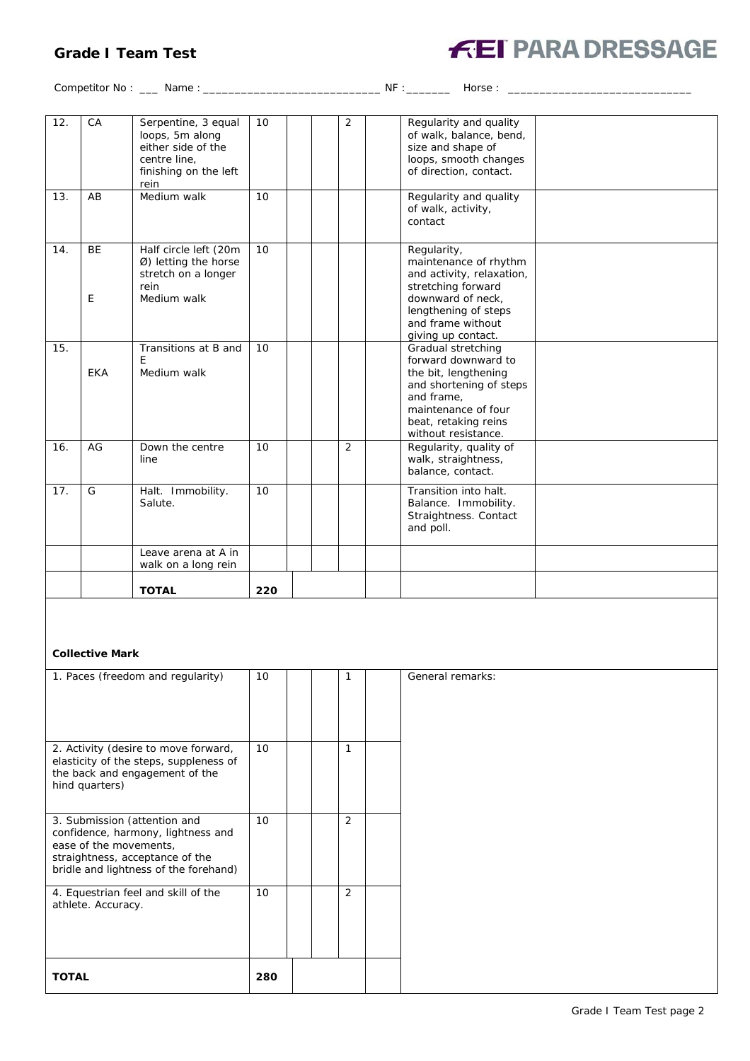#### **Grade I Team Test**



Competitor No : \_\_\_ Name : \_\_\_\_\_\_\_\_\_\_\_\_\_\_\_\_\_\_\_\_\_\_\_\_\_\_\_\_ NF :\_\_\_\_\_\_\_ Horse : \_\_\_\_\_\_\_\_\_\_\_\_\_\_\_\_\_\_\_\_\_\_\_\_\_\_\_\_\_

| 12. | CA             | Serpentine, 3 equal<br>loops, 5m along<br>either side of the<br>centre line.<br>finishing on the left<br>rein | 10  | 2 | Regularity and quality<br>of walk, balance, bend,<br>size and shape of<br>loops, smooth changes<br>of direction, contact.                                                        |  |
|-----|----------------|---------------------------------------------------------------------------------------------------------------|-----|---|----------------------------------------------------------------------------------------------------------------------------------------------------------------------------------|--|
| 13. | AB             | Medium walk                                                                                                   | 10  |   | Regularity and quality<br>of walk, activity,<br>contact                                                                                                                          |  |
| 14. | <b>BE</b><br>E | Half circle left (20m<br>Ø) letting the horse<br>stretch on a longer<br>rein<br>Medium walk                   | 10  |   | Regularity,<br>maintenance of rhythm<br>and activity, relaxation,<br>stretching forward<br>downward of neck.<br>lengthening of steps<br>and frame without<br>giving up contact.  |  |
| 15. | <b>EKA</b>     | Transitions at B and<br>F<br>Medium walk                                                                      | 10  |   | Gradual stretching<br>forward downward to<br>the bit, lengthening<br>and shortening of steps<br>and frame.<br>maintenance of four<br>beat, retaking reins<br>without resistance. |  |
| 16. | AG             | Down the centre<br>line                                                                                       | 10  | 2 | Regularity, quality of<br>walk, straightness,<br>balance, contact.                                                                                                               |  |
| 17. | G              | Halt. Immobility.<br>Salute.                                                                                  | 10  |   | Transition into halt.<br>Balance. Immobility.<br>Straightness. Contact<br>and poll.                                                                                              |  |
|     |                | Leave arena at A in<br>walk on a long rein                                                                    |     |   |                                                                                                                                                                                  |  |
|     |                | <b>TOTAL</b>                                                                                                  | 220 |   |                                                                                                                                                                                  |  |

#### **Collective Mark**

| 1. Paces (freedom and regularity)                                                                                                                                        | 10              | 1              | General remarks: |
|--------------------------------------------------------------------------------------------------------------------------------------------------------------------------|-----------------|----------------|------------------|
| 2. Activity (desire to move forward,<br>elasticity of the steps, suppleness of<br>the back and engagement of the<br>hind quarters)                                       | 10 <sup>°</sup> | 1              |                  |
| 3. Submission (attention and<br>confidence, harmony, lightness and<br>ease of the movements,<br>straightness, acceptance of the<br>bridle and lightness of the forehand) | 10              | 2              |                  |
| 4. Equestrian feel and skill of the<br>athlete. Accuracy.                                                                                                                | 10              | $\overline{2}$ |                  |
| <b>TOTAL</b>                                                                                                                                                             | 280             |                |                  |